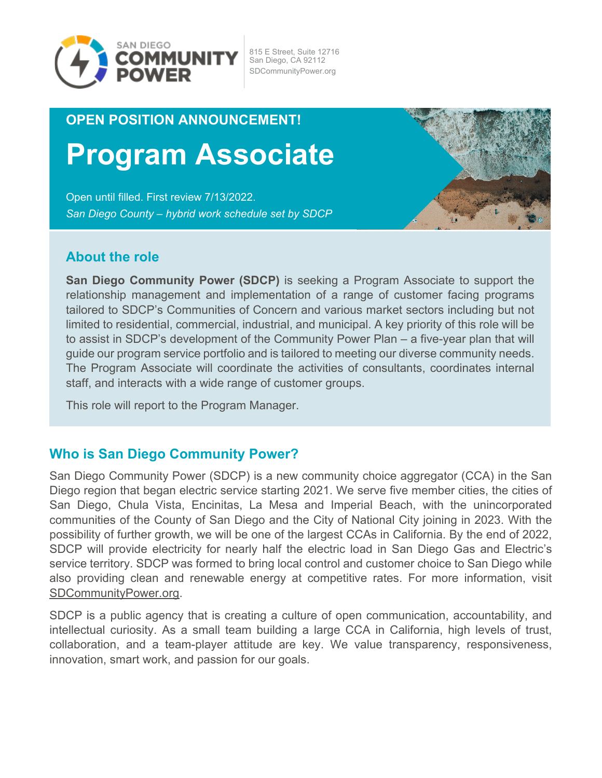

815 E Street, Suite 12716 San Diego, CA 92112 SDCommunityPower.org

# **OPEN POSITION ANNOUNCEMENT!**

# **Program Associate**

Open until filled. First review 7/13/2022. *San Diego County – hybrid work schedule set by SDCP*



#### **About the role**

**San Diego Community Power (SDCP)** is seeking a Program Associate to support the relationship management and implementation of a range of customer facing programs tailored to SDCP's Communities of Concern and various market sectors including but not limited to residential, commercial, industrial, and municipal. A key priority of this role will be to assist in SDCP's development of the Community Power Plan – a five-year plan that will guide our program service portfolio and is tailored to meeting our diverse community needs. The Program Associate will coordinate the activities of consultants, coordinates internal staff, and interacts with a wide range of customer groups.

This role will report to the Program Manager.

#### **Who is San Diego Community Power?**

San Diego Community Power (SDCP) is a new community choice aggregator (CCA) in the San Diego region that began electric service starting 2021. We serve five member cities, the cities of San Diego, Chula Vista, Encinitas, La Mesa and Imperial Beach, with the unincorporated communities of the County of San Diego and the City of National City joining in 2023. With the possibility of further growth, we will be one of the largest CCAs in California. By the end of 2022, SDCP will provide electricity for nearly half the electric load in San Diego Gas and Electric's service territory. SDCP was formed to bring local control and customer choice to San Diego while also providing clean and renewable energy at competitive rates. For more information, visit [SDCommunityPower.org.](https://sdcommunitypower.org/)

SDCP is a public agency that is creating a culture of open communication, accountability, and intellectual curiosity. As a small team building a large CCA in California, high levels of trust, collaboration, and a team-player attitude are key. We value transparency, responsiveness, innovation, smart work, and passion for our goals.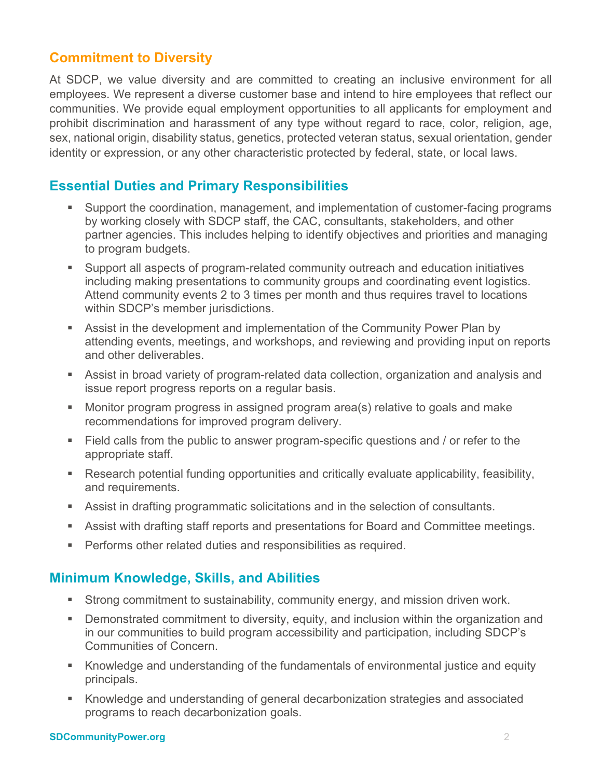# **Commitment to Diversity**

At SDCP, we value diversity and are committed to creating an inclusive environment for all employees. We represent a diverse customer base and intend to hire employees that reflect our communities. We provide equal employment opportunities to all applicants for employment and prohibit discrimination and harassment of any type without regard to race, color, religion, age, sex, national origin, disability status, genetics, protected veteran status, sexual orientation, gender identity or expression, or any other characteristic protected by federal, state, or local laws.

## **Essential Duties and Primary Responsibilities**

- Support the coordination, management, and implementation of customer-facing programs by working closely with SDCP staff, the CAC, consultants, stakeholders, and other partner agencies. This includes helping to identify objectives and priorities and managing to program budgets.
- Support all aspects of program-related community outreach and education initiatives including making presentations to community groups and coordinating event logistics. Attend community events 2 to 3 times per month and thus requires travel to locations within SDCP's member jurisdictions.
- Assist in the development and implementation of the Community Power Plan by attending events, meetings, and workshops, and reviewing and providing input on reports and other deliverables.
- Assist in broad variety of program-related data collection, organization and analysis and issue report progress reports on a regular basis.
- Monitor program progress in assigned program area(s) relative to goals and make recommendations for improved program delivery.
- Field calls from the public to answer program-specific questions and / or refer to the appropriate staff.
- Research potential funding opportunities and critically evaluate applicability, feasibility, and requirements.
- Assist in drafting programmatic solicitations and in the selection of consultants.
- Assist with drafting staff reports and presentations for Board and Committee meetings.
- **Performs other related duties and responsibilities as required.**

#### **Minimum Knowledge, Skills, and Abilities**

- Strong commitment to sustainability, community energy, and mission driven work.
- **Demonstrated commitment to diversity, equity, and inclusion within the organization and** in our communities to build program accessibility and participation, including SDCP's Communities of Concern.
- Knowledge and understanding of the fundamentals of environmental justice and equity principals.
- Knowledge and understanding of general decarbonization strategies and associated programs to reach decarbonization goals.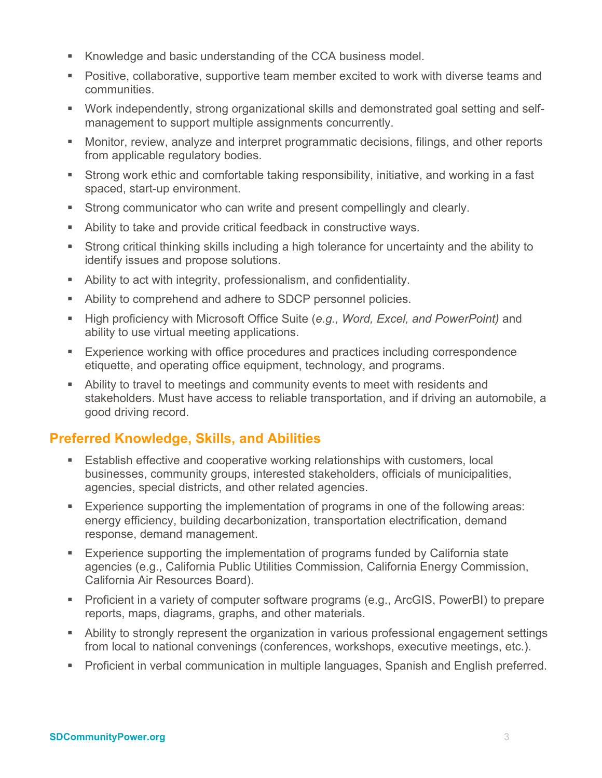- Knowledge and basic understanding of the CCA business model.
- Positive, collaborative, supportive team member excited to work with diverse teams and communities.
- Work independently, strong organizational skills and demonstrated goal setting and selfmanagement to support multiple assignments concurrently.
- Monitor, review, analyze and interpret programmatic decisions, filings, and other reports from applicable regulatory bodies.
- Strong work ethic and comfortable taking responsibility, initiative, and working in a fast spaced, start-up environment.
- **Strong communicator who can write and present compellingly and clearly.**
- Ability to take and provide critical feedback in constructive ways.
- Strong critical thinking skills including a high tolerance for uncertainty and the ability to identify issues and propose solutions.
- Ability to act with integrity, professionalism, and confidentiality.
- Ability to comprehend and adhere to SDCP personnel policies.
- High proficiency with Microsoft Office Suite (*e.g., Word, Excel, and PowerPoint)* and ability to use virtual meeting applications.
- **Experience working with office procedures and practices including correspondence** etiquette, and operating office equipment, technology, and programs.
- Ability to travel to meetings and community events to meet with residents and stakeholders. Must have access to reliable transportation, and if driving an automobile, a good driving record.

# **Preferred Knowledge, Skills, and Abilities**

- Establish effective and cooperative working relationships with customers, local businesses, community groups, interested stakeholders, officials of municipalities, agencies, special districts, and other related agencies.
- **Experience supporting the implementation of programs in one of the following areas:** energy efficiency, building decarbonization, transportation electrification, demand response, demand management.
- Experience supporting the implementation of programs funded by California state agencies (e.g., California Public Utilities Commission, California Energy Commission, California Air Resources Board).
- Proficient in a variety of computer software programs (e.g., ArcGIS, PowerBI) to prepare reports, maps, diagrams, graphs, and other materials.
- Ability to strongly represent the organization in various professional engagement settings from local to national convenings (conferences, workshops, executive meetings, etc.).
- Proficient in verbal communication in multiple languages, Spanish and English preferred.